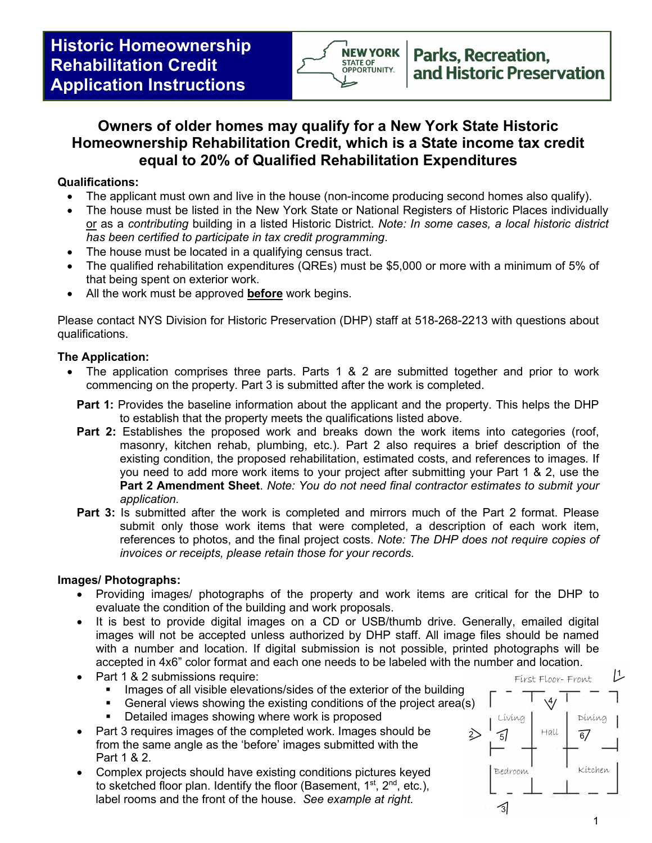

# **Owners of older homes may qualify for a New York State Historic Homeownership Rehabilitation Credit, which is a State income tax credit equal to 20% of Qualified Rehabilitation Expenditures**

### **Qualifications:**

- The applicant must own and live in the house (non-income producing second homes also qualify).
- The house must be listed in the New York State or National Registers of Historic Places individually or as a *contributing* building in a listed Historic District. *Note: In some cases, a local historic district has been certified to participate in tax credit programming*.
- The house must be located in a qualifying census tract.
- The qualified rehabilitation expenditures (QREs) must be \$5,000 or more with a minimum of 5% of that being spent on exterior work.
- All the work must be approved **before** work begins.

Please contact NYS Division for Historic Preservation (DHP) staff at 518-268-2213 with questions about qualifications.

## **The Application:**

- The application comprises three parts. Parts 1 & 2 are submitted together and prior to work commencing on the property. Part 3 is submitted after the work is completed.
	- **Part 1:** Provides the baseline information about the applicant and the property. This helps the DHP to establish that the property meets the qualifications listed above.
	- **Part 2:** Establishes the proposed work and breaks down the work items into categories (roof, masonry, kitchen rehab, plumbing, etc.). Part 2 also requires a brief description of the existing condition, the proposed rehabilitation, estimated costs, and references to images*.* If you need to add more work items to your project after submitting your Part 1 & 2, use the **Part 2 Amendment Sheet**. *Note: You do not need final contractor estimates to submit your application.*
	- **Part 3:** Is submitted after the work is completed and mirrors much of the Part 2 format. Please submit only those work items that were completed, a description of each work item, references to photos, and the final project costs. *Note: The DHP does not require copies of invoices or receipts, please retain those for your records.*

## **Images/ Photographs:**

- Providing images/ photographs of the property and work items are critical for the DHP to evaluate the condition of the building and work proposals.
- It is best to provide digital images on a CD or USB/thumb drive. Generally, emailed digital images will not be accepted unless authorized by DHP staff. All image files should be named with a number and location. If digital submission is not possible, printed photographs will be accepted in 4x6" color format and each one needs to be labeled with the number and location.
- Part 1 & 2 submissions require:
	- Images of all visible elevations/sides of the exterior of the building
	- General views showing the existing conditions of the project area(s)
	- Detailed images showing where work is proposed
- Part 3 requires images of the completed work. Images should be from the same angle as the 'before' images submitted with the Part 1 & 2.
- Complex projects should have existing conditions pictures keyed to sketched floor plan. Identify the floor (Basement,  $1<sup>st</sup>$ ,  $2<sup>nd</sup>$ , etc.), label rooms and the front of the house. *See example at right.*

 $\sqrt{4/}$ Líving Díníng  $Hall$  $\sum$  $67$  $\overline{5}$ Kitchen Bedroom 刁

First Floor- Front

1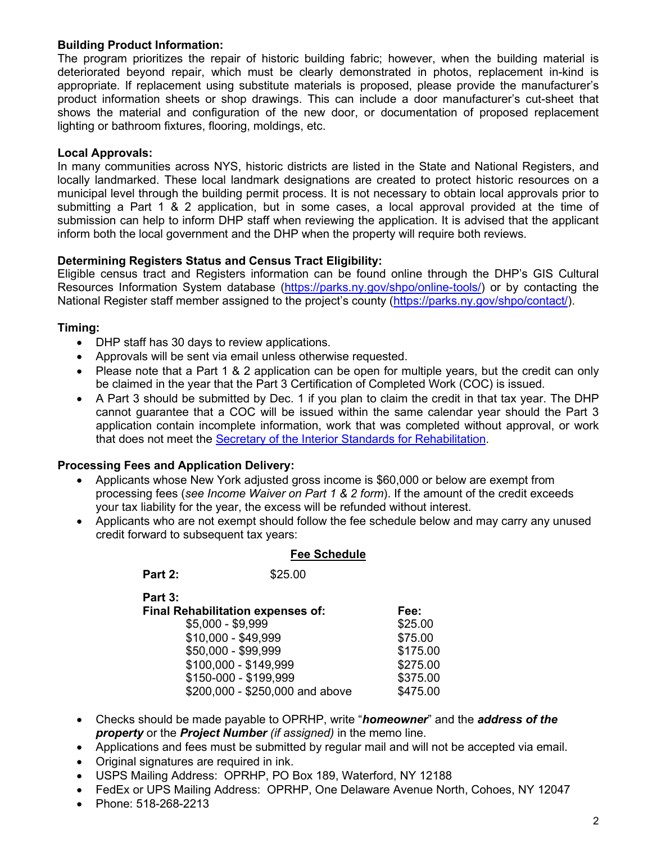#### **Building Product Information:**

The program prioritizes the repair of historic building fabric; however, when the building material is deteriorated beyond repair, which must be clearly demonstrated in photos, replacement in-kind is appropriate. If replacement using substitute materials is proposed, please provide the manufacturer's product information sheets or shop drawings. This can include a door manufacturer's cut-sheet that shows the material and configuration of the new door, or documentation of proposed replacement lighting or bathroom fixtures, flooring, moldings, etc.

#### **Local Approvals:**

In many communities across NYS, historic districts are listed in the State and National Registers, and locally landmarked. These local landmark designations are created to protect historic resources on a municipal level through the building permit process. It is not necessary to obtain local approvals prior to submitting a Part 1 & 2 application, but in some cases, a local approval provided at the time of submission can help to inform DHP staff when reviewing the application. It is advised that the applicant inform both the local government and the DHP when the property will require both reviews.

#### **Determining Registers Status and Census Tract Eligibility:**

Eligible census tract and Registers information can be found online through the DHP's GIS Cultural Resources Information System database [\(https://parks.ny.gov/shpo/online-tools/\)](https://parks.ny.gov/shpo/online-tools/) or by contacting the National Register staff member assigned to the project's county [\(https://parks.ny.gov/shpo/contact/\)](https://parks.ny.gov/shpo/contact/).

#### **Timing:**

- DHP staff has 30 days to review applications.
- Approvals will be sent via email unless otherwise requested.
- Please note that a Part 1 & 2 application can be open for multiple years, but the credit can only be claimed in the year that the Part 3 Certification of Completed Work (COC) is issued.
- A Part 3 should be submitted by Dec. 1 if you plan to claim the credit in that tax year. The DHP cannot guarantee that a COC will be issued within the same calendar year should the Part 3 application contain incomplete information, work that was completed without approval, or work that does not meet the **Secretary of the Interior Standards for Rehabilitation**.

#### **Processing Fees and Application Delivery:**

- Applicants whose New York adjusted gross income is \$60,000 or below are exempt from processing fees (*see Income Waiver on Part 1 & 2 form*). If the amount of the credit exceeds your tax liability for the year, the excess will be refunded without interest.
- Applicants who are not exempt should follow the fee schedule below and may carry any unused credit forward to subsequent tax years:

#### **Fee Schedule**

| Part 2: | \$25.00 |
|---------|---------|
|         |         |

**Part 3: Final Rehabilitation expenses of: Fee:**

| $$5,000 - $9,999$               | \$25.00  |
|---------------------------------|----------|
| \$10,000 - \$49,999             | \$75.00  |
| \$50,000 - \$99,999             | \$175.00 |
| \$100,000 - \$149,999           | \$275.00 |
| \$150-000 - \$199,999           | \$375.00 |
| \$200,000 - \$250,000 and above | \$475.00 |
|                                 |          |

- Checks should be made payable to OPRHP, write "*homeowner*" and the *address of the property* or the *Project Number (if assigned)* in the memo line.
- Applications and fees must be submitted by regular mail and will not be accepted via email.
- Original signatures are required in ink.
- USPS Mailing Address: OPRHP, PO Box 189, Waterford, NY 12188
- FedEx or UPS Mailing Address: OPRHP, One Delaware Avenue North, Cohoes, NY 12047
- Phone: 518-268-2213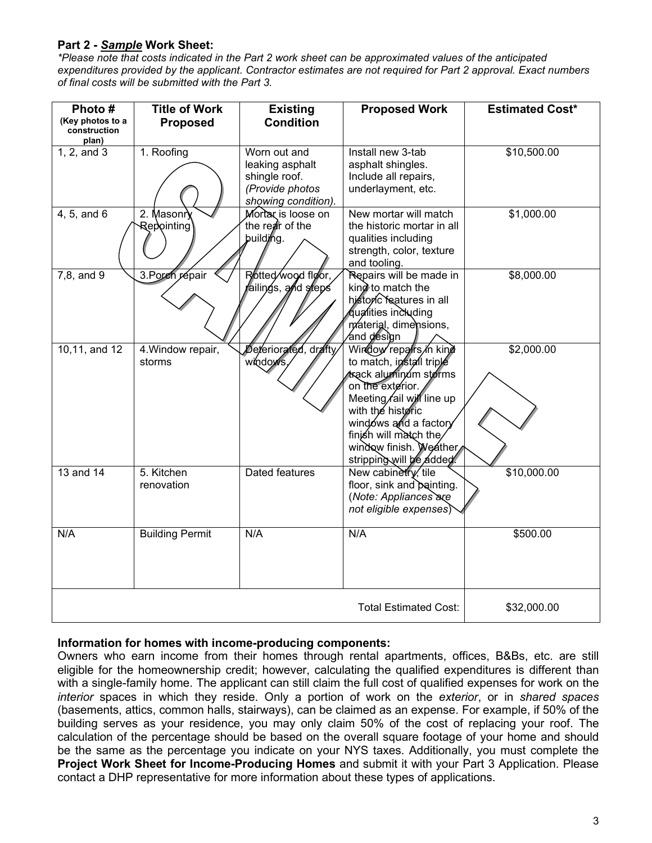### **Part 2 -** *Sample* **Work Sheet:**

*\*Please note that costs indicated in the Part 2 work sheet can be approximated values of the anticipated expenditures provided by the applicant. Contractor estimates are not required for Part 2 approval. Exact numbers of final costs will be submitted with the Part 3.*

| Photo #<br>(Key photos to a<br>construction<br>plan) | <b>Title of Work</b><br><b>Proposed</b> | <b>Existing</b><br><b>Condition</b>                                                        | <b>Proposed Work</b>                                                                                                                                                                                                                                        | <b>Estimated Cost*</b> |
|------------------------------------------------------|-----------------------------------------|--------------------------------------------------------------------------------------------|-------------------------------------------------------------------------------------------------------------------------------------------------------------------------------------------------------------------------------------------------------------|------------------------|
| 1, 2, and 3                                          | 1. Roofing                              | Worn out and<br>leaking asphalt<br>shingle roof.<br>(Provide photos<br>showing condition). | Install new 3-tab<br>asphalt shingles.<br>Include all repairs,<br>underlayment, etc.                                                                                                                                                                        | \$10,500.00            |
| 4, 5, and 6                                          | 2. Masonry<br>Repointing                | Mortar is loose on<br>the rear of the<br>building.                                         | New mortar will match<br>the historic mortar in all<br>qualities including<br>strength, color, texture<br>and tooling.                                                                                                                                      | \$1,000.00             |
| 7,8, and 9                                           | 3. Porch répair                         | Rotted wood floor,<br>railings, and steps                                                  | Repairs will be made in<br>king to match the<br>historic features in all<br>qualities including<br>material, dimensions,<br>∕and design                                                                                                                     | \$8,000.00             |
| $10, 11,$ and $12$                                   | 4. Window repair,<br>storms             | Deteriorated, drafty<br>windows                                                            | Window repairs in kind<br>to match, install triple<br>∕track alumin∕um storms<br>on the exterior.<br>Meeting fail will line up<br>with the historic<br>windows and a factory<br>finish will match the<br>window finish. Weather,<br>stripping will be added | \$2,000.00             |
| $13$ and $14$                                        | 5. Kitchen<br>renovation                | <b>Dated features</b>                                                                      | New cabinetry, tile<br>floor, sink and painting.<br>(Note: Appliances are<br>not eligible expenses)                                                                                                                                                         | \$10,000.00            |
| N/A                                                  | <b>Building Permit</b>                  | N/A                                                                                        | N/A                                                                                                                                                                                                                                                         | \$500.00               |
|                                                      |                                         |                                                                                            | Total Estimated Cost:                                                                                                                                                                                                                                       | \$32,000.00            |

#### **Information for homes with income-producing components:**

Owners who earn income from their homes through rental apartments, offices, B&Bs, etc. are still eligible for the homeownership credit; however, calculating the qualified expenditures is different than with a single-family home. The applicant can still claim the full cost of qualified expenses for work on the *interior* spaces in which they reside. Only a portion of work on the *exterior*, or in *shared spaces* (basements, attics, common halls, stairways), can be claimed as an expense. For example, if 50% of the building serves as your residence, you may only claim 50% of the cost of replacing your roof. The calculation of the percentage should be based on the overall square footage of your home and should be the same as the percentage you indicate on your NYS taxes. Additionally, you must complete the **Project Work Sheet for Income-Producing Homes** and submit it with your Part 3 Application. Please contact a DHP representative for more information about these types of applications.